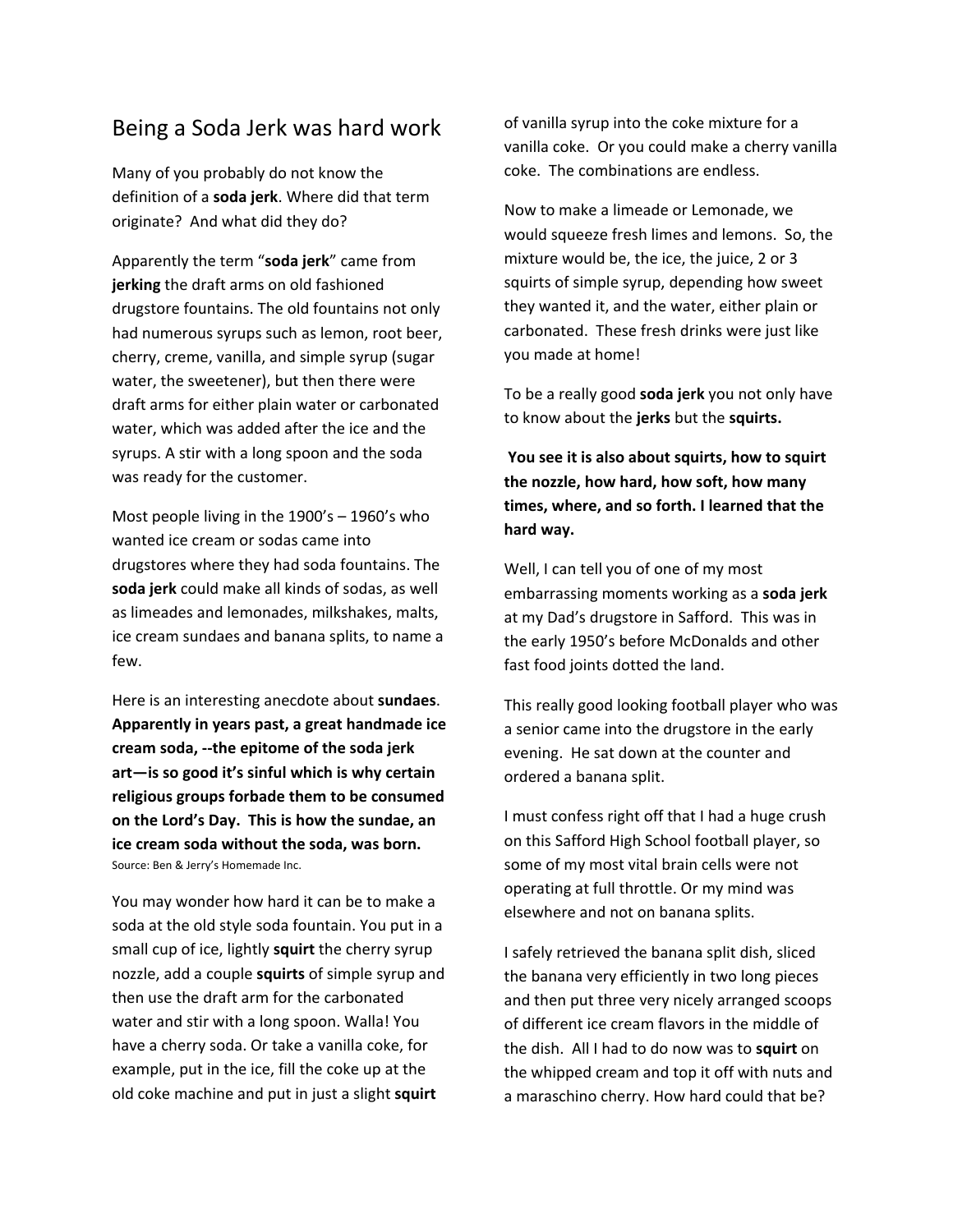## Being a Soda Jerk was hard work

Many of you probably do not know the definition of a **soda jerk**. Where did that term originate? And what did they do?

Apparently the term "**soda jerk**" came from **jerking** the draft arms on old fashioned drugstore fountains. The old fountains not only had numerous syrups such as lemon, root beer, cherry, creme, vanilla, and simple syrup (sugar water, the sweetener), but then there were draft arms for either plain water or carbonated water, which was added after the ice and the syrups. A stir with a long spoon and the soda was ready for the customer.

Most people living in the 1900's – 1960's who wanted ice cream or sodas came into drugstores where they had soda fountains. The **soda jerk** could make all kinds of sodas, as well as limeades and lemonades, milkshakes, malts, ice cream sundaes and banana splits, to name a few.

Here is an interesting anecdote about **sundaes**. **Apparently in years past, a great handmade ice cream soda, ‐‐the epitome of the soda jerk art—is so good it's sinful which is why certain religious groups forbade them to be consumed on the Lord's Day. This is how the sundae, an ice cream soda without the soda, was born.** Source: Ben & Jerry's Homemade Inc.

You may wonder how hard it can be to make a soda at the old style soda fountain. You put in a small cup of ice, lightly **squirt** the cherry syrup nozzle, add a couple **squirts** of simple syrup and then use the draft arm for the carbonated water and stir with a long spoon. Walla! You have a cherry soda. Or take a vanilla coke, for example, put in the ice, fill the coke up at the old coke machine and put in just a slight **squirt**

of vanilla syrup into the coke mixture for a vanilla coke. Or you could make a cherry vanilla coke. The combinations are endless.

Now to make a limeade or Lemonade, we would squeeze fresh limes and lemons. So, the mixture would be, the ice, the juice, 2 or 3 squirts of simple syrup, depending how sweet they wanted it, and the water, either plain or carbonated. These fresh drinks were just like you made at home!

To be a really good **soda jerk** you not only have to know about the **jerks** but the **squirts.**

**You see it is also about squirts, how to squirt the nozzle, how hard, how soft, how many times, where, and so forth. I learned that the hard way.**

Well, I can tell you of one of my most embarrassing moments working as a **soda jerk** at my Dad's drugstore in Safford. This was in the early 1950's before McDonalds and other fast food joints dotted the land.

This really good looking football player who was a senior came into the drugstore in the early evening. He sat down at the counter and ordered a banana split.

I must confess right off that I had a huge crush on this Safford High School football player, so some of my most vital brain cells were not operating at full throttle. Or my mind was elsewhere and not on banana splits.

I safely retrieved the banana split dish, sliced the banana very efficiently in two long pieces and then put three very nicely arranged scoops of different ice cream flavors in the middle of the dish. All I had to do now was to **squirt** on the whipped cream and top it off with nuts and a maraschino cherry. How hard could that be?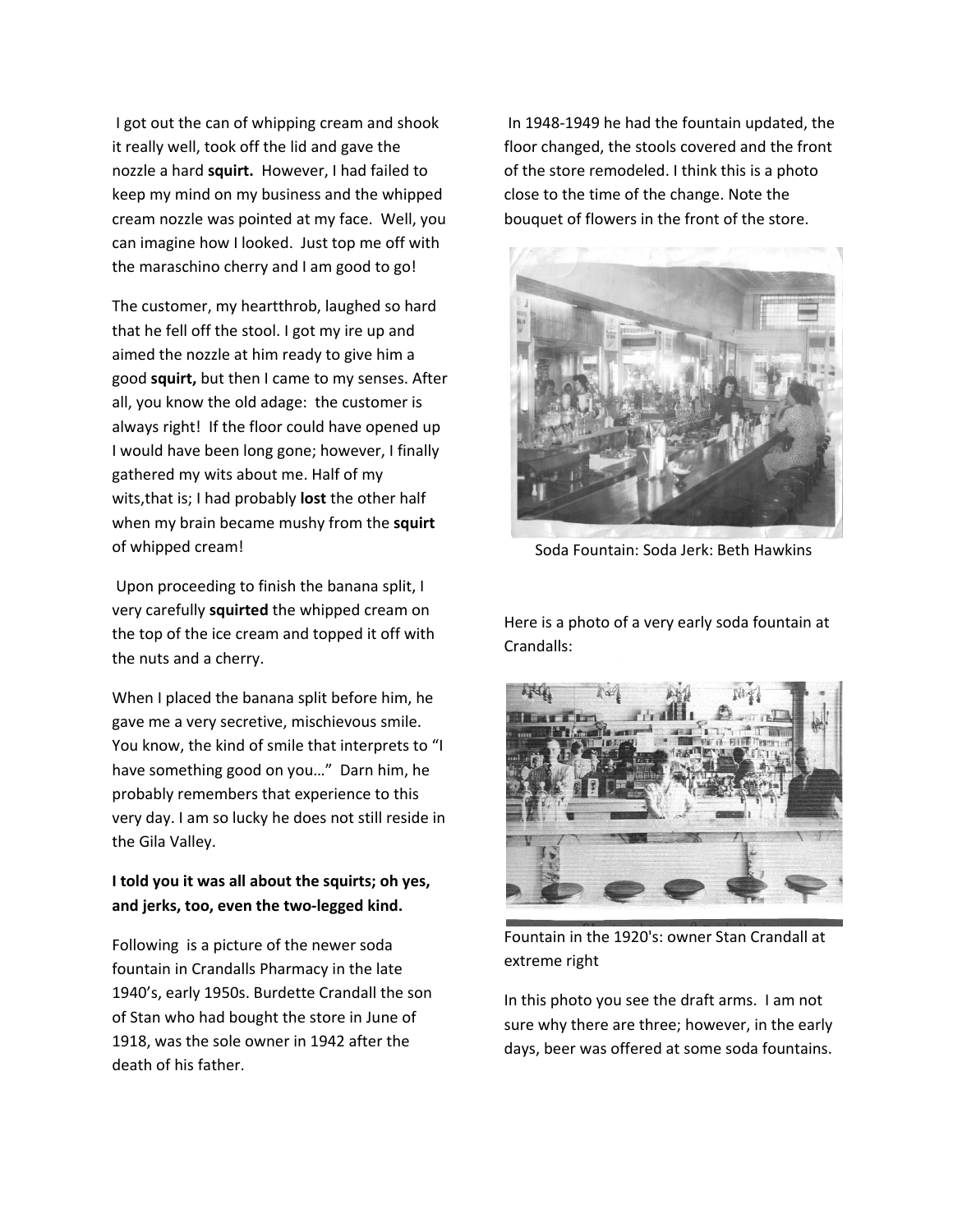I got out the can of whipping cream and shook it really well, took off the lid and gave the nozzle a hard **squirt.** However, I had failed to keep my mind on my business and the whipped cream nozzle was pointed at my face. Well, you can imagine how I looked. Just top me off with the maraschino cherry and I am good to go!

The customer, my heartthrob, laughed so hard that he fell off the stool. I got my ire up and aimed the nozzle at him ready to give him a good **squirt,** but then I came to my senses. After all, you know the old adage: the customer is always right! If the floor could have opened up I would have been long gone; however, I finally gathered my wits about me. Half of my wits,that is; I had probably **lost** the other half when my brain became mushy from the **squirt** of whipped cream!

Upon proceeding to finish the banana split, I very carefully **squirted** the whipped cream on the top of the ice cream and topped it off with the nuts and a cherry.

When I placed the banana split before him, he gave me a very secretive, mischievous smile. You know, the kind of smile that interprets to "I have something good on you…" Darn him, he probably remembers that experience to this very day. I am so lucky he does not still reside in the Gila Valley.

## **I told you it was all about the squirts; oh yes, and jerks, too, even the two‐legged kind.**

Following is a picture of the newer soda fountain in Crandalls Pharmacy in the late 1940's, early 1950s. Burdette Crandall the son of Stan who had bought the store in June of 1918, was the sole owner in 1942 after the death of his father.

In 1948‐1949 he had the fountain updated, the floor changed, the stools covered and the front of the store remodeled. I think this is a photo close to the time of the change. Note the bouquet of flowers in the front of the store.



Soda Fountain: Soda Jerk: Beth Hawkins

Here is a photo of a very early soda fountain at Crandalls:



Fountain in the 1920's: owner Stan Crandall at extreme right

In this photo you see the draft arms. I am not sure why there are three; however, in the early days, beer was offered at some soda fountains.